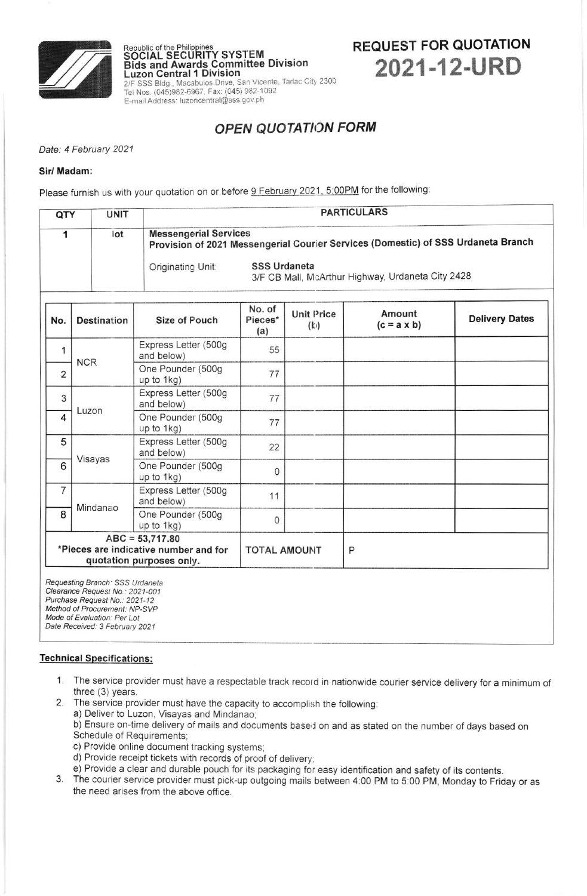

# REQUEST FOR QUOTATION 2021-12-URD

## OPEN QUOTATION FORM

Date: 4 February 2021

#### Sir/ Madam:

Please furnish us with your quotation on or before <u>9 February 2021, 5:00PM</u> for the following

 ${\sf \small \bf \color{red}{SGCIAL} }$   ${\sf \small \bf \color{green}{SGCIAL} }$   ${\sf \small \bf \color{green}{SGCIAL} }$ 

Tel Nos. (045)982-6967, Fax: (045) 982-1092 E-mail Address: luzoncentral@sss.gov.ph

Luzon Central 1 Division

Bids and Awards Committee Division

2/F SSS Bldg., Macabulos Drive, San Vicente, Tarlac City 2300

| QTY                                                                                    | <b>UNIT</b>        |                                    |                          |                          | <b>PARTICULARS</b>                                                                |                       |  |  |  |
|----------------------------------------------------------------------------------------|--------------------|------------------------------------|--------------------------|--------------------------|-----------------------------------------------------------------------------------|-----------------------|--|--|--|
| 1                                                                                      | lot                | <b>Messengerial Services</b>       |                          |                          | Provision of 2021 Messengerial Courier Services (Domestic) of SSS Urdaneta Branch |                       |  |  |  |
|                                                                                        |                    | Originating Unit:                  | <b>SSS Urdaneta</b>      |                          | 3/F CB Mall, McArthur Highway, Urdaneta City 2428                                 |                       |  |  |  |
| No.                                                                                    | <b>Destination</b> | Size of Pouch                      | No. of<br>Pieces*<br>(a) | <b>Unit Price</b><br>(b) | Amount<br>$(c = a \times b)$                                                      | <b>Delivery Dates</b> |  |  |  |
| 1                                                                                      | <b>NCR</b>         | Express Letter (500g<br>and below) | 55                       |                          |                                                                                   |                       |  |  |  |
| $\overline{2}$                                                                         |                    | One Pounder (500g<br>up to 1kg)    | 77                       |                          |                                                                                   |                       |  |  |  |
| 3                                                                                      | Luzon              | Express Letter (500g<br>and below) | 77                       |                          |                                                                                   |                       |  |  |  |
| 4                                                                                      |                    | One Pounder (500g<br>up to 1kg)    | 77                       |                          |                                                                                   |                       |  |  |  |
| 5                                                                                      | Visayas            | Express Letter (500g<br>and below) | 22                       |                          |                                                                                   |                       |  |  |  |
| 6                                                                                      |                    | One Pounder (500g<br>up to 1kg)    | 0                        |                          |                                                                                   |                       |  |  |  |
| 7                                                                                      | Mindanao           | Express Letter (500g<br>and below) | 11                       |                          |                                                                                   |                       |  |  |  |
| 8                                                                                      |                    | One Pounder (500g<br>up to 1kg)    | 0                        |                          |                                                                                   |                       |  |  |  |
| $ABC = 53,717.80$<br>*Pieces are indicative number and for<br>quotation purposes only. |                    |                                    | <b>TOTAL AMOUNT</b>      |                          | P                                                                                 |                       |  |  |  |
| Requesting Branch: SSS Urdaneta                                                        |                    |                                    |                          |                          |                                                                                   |                       |  |  |  |

Requesting Btanch SSS Urdareta Cleatance Request No : 2021-001 Purchase Request No.: 2021-12 Method of Procurement: NP-SVP Mode of Evaluation: Per Lot Date Received: 3 February 2021

### Technical Specifications:

- 1. The service provider must have a respectable track record in nationwide courier service delivery for a minimum of three (3) years.
- 2. The service provider must have the capacity to accomplish the following:
	- a) Deliver to Luzon, Visayas and Mindanao;
	- b) Ensure on-time delivery of mails and documents based on and as stated on the number of days based on Schedule of Requirements,
	- c) Provide online document tracking systems;
	-
	- d) Provide receipt tickets with records of proof of delivery;
- 3. The courier service provider must pick-up outgoing mails between 4:00 PM to 5:00 PM, Monday to Friday or as the need arises from the above office.